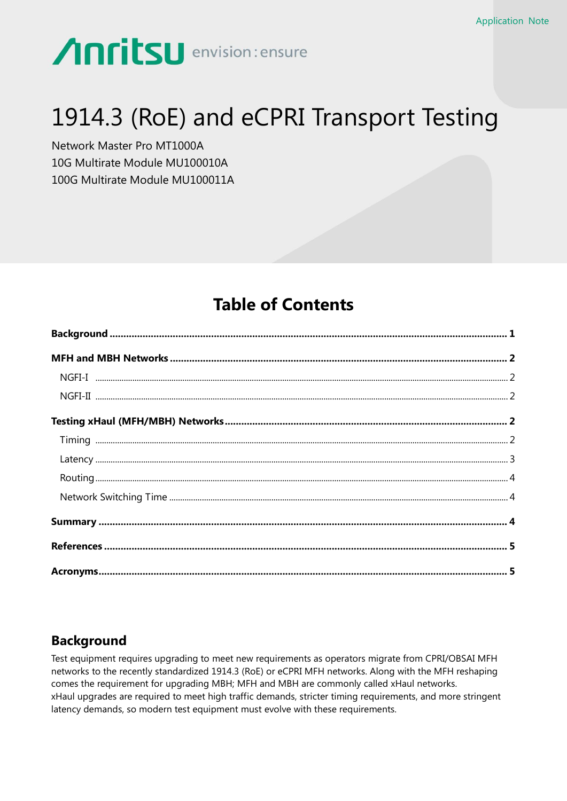# **Anritsu** envision: ensure

# 1914.3 (RoE) and eCPRI Transport Testing

Network Master Pro MT1000A 10G Multirate Module MU100010A 100G Multirate Module MU100011A

## **Table of Contents**

## <span id="page-0-0"></span>**Background**

Test equipment requires upgrading to meet new requirements as operators migrate from CPRI/OBSAI MFH networks to the recently standardized 1914.3 (RoE) or eCPRI MFH networks. Along with the MFH reshaping comes the requirement for upgrading MBH; MFH and MBH are commonly called xHaul networks. xHaul upgrades are required to meet high traffic demands, stricter timing requirements, and more stringent latency demands, so modern test equipment must evolve with these requirements.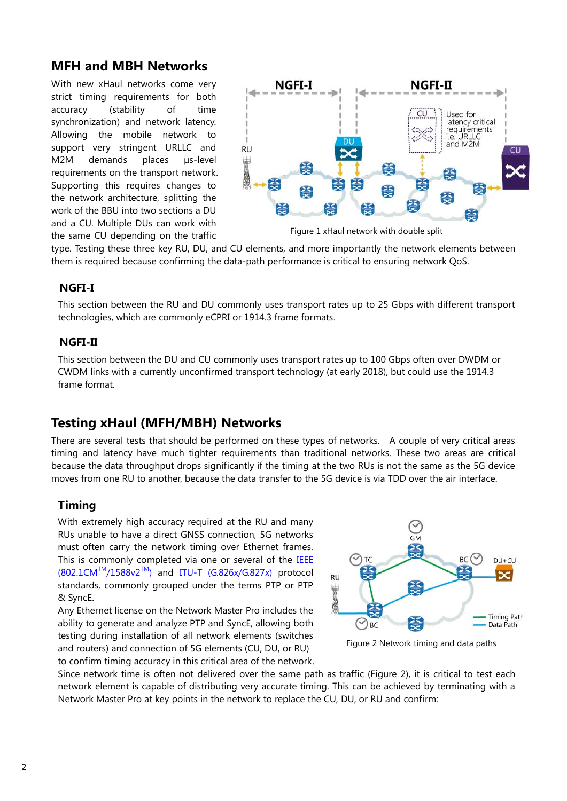## <span id="page-1-0"></span>**MFH and MBH Networks**

With new xHaul networks come very strict timing requirements for both accuracy (stability of time synchronization) and network latency. Allowing the mobile network to support very stringent URLLC and M2M demands places us-level requirements on the transport network. Supporting this requires changes to the network architecture, splitting the work of the BBU into two sections a DU and a CU. Multiple DUs can work with the same CU depending on the traffic



Figure 1 xHaul network with double split

type. Testing these three key RU, DU, and CU elements, and more importantly the network elements between them is required because confirming the data-path performance is critical to ensuring network QoS.

### <span id="page-1-1"></span>**NGFI-I**

This section between the RU and DU commonly uses transport rates up to 25 Gbps with different transport technologies, which are commonly eCPRI or 1914.3 frame formats.

### <span id="page-1-2"></span>**NGFI-II**

This section between the DU and CU commonly uses transport rates up to 100 Gbps often over DWDM or CWDM links with a currently unconfirmed transport technology (at early 2018), but could use the 1914.3 frame format.

## <span id="page-1-3"></span>**Testing xHaul (MFH/MBH) Networks**

There are several tests that should be performed on these types of networks. A couple of very critical areas timing and latency have much tighter requirements than traditional networks. These two areas are critical because the data throughput drops significantly if the timing at the two RUs is not the same as the 5G device moves from one RU to another, because the data transfer to the 5G device is via TDD over the air interface.

### <span id="page-1-4"></span>**Timing**

With extremely high accuracy required at the RU and many RUs unable to have a direct GNSS connection, 5G networks must often carry the network timing over Ethernet frames. This is commonly completed via one or several of the [IEEE](#page-4-0)   $(802.1CM^{TM}/1588v2^{TM})$  $(802.1CM^{TM}/1588v2^{TM})$  and ITU-T  $(G.826x/G.827x)$  protocol standards, commonly grouped under the terms PTP or PTP & SyncE.

Any Ethernet license on the Network Master Pro includes the ability to generate and analyze PTP and SyncE, allowing both testing during installation of all network elements (switches and routers) and connection of 5G elements (CU, DU, or RU) to confirm timing accuracy in this critical area of the network.



Figure 2 Network timing and data paths

Since network time is often not delivered over the same path as traffic (Figure 2), it is critical to test each network element is capable of distributing very accurate timing. This can be achieved by terminating with a Network Master Pro at key points in the network to replace the CU, DU, or RU and confirm: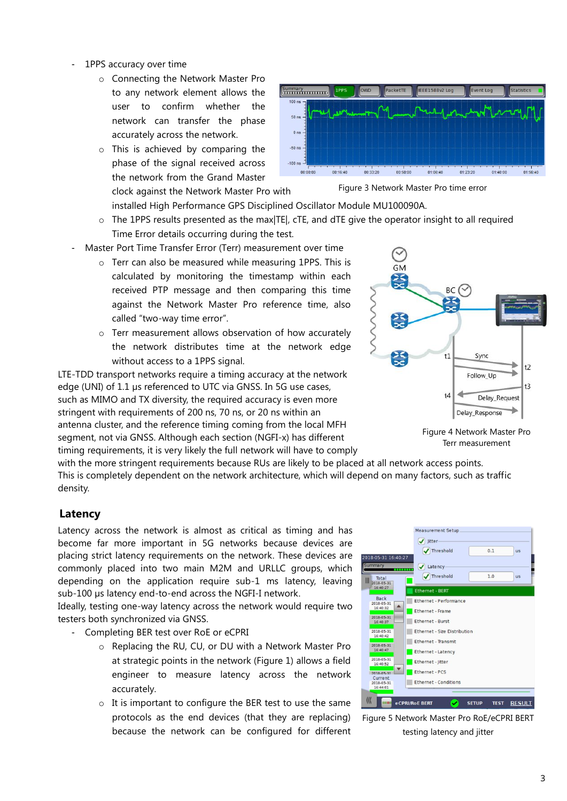- 1PPS accuracy over time
	- o Connecting the Network Master Pro to any network element allows the user to confirm whether the network can transfer the phase accurately across the network.
	- o This is achieved by comparing the phase of the signal received across the network from the Grand Master



Figure 3 Network Master Pro time error

installed High Performance GPS Disciplined Oscillator Module MU100090A.

- o The 1PPS results presented as the max|TE|, cTE, and dTE give the operator insight to all required Time Error details occurring during the test.
- Master Port Time Transfer Error (Terr) measurement over time

clock against the Network Master Pro with

- o Terr can also be measured while measuring 1PPS. This is calculated by monitoring the timestamp within each received PTP message and then comparing this time against the Network Master Pro reference time, also called "two-way time error".
- o Terr measurement allows observation of how accurately the network distributes time at the network edge without access to a 1PPS signal.

LTE-TDD transport networks require a timing accuracy at the network edge (UNI) of 1.1 µs referenced to UTC via GNSS. In 5G use cases, such as MIMO and TX diversity, the required accuracy is even more stringent with requirements of 200 ns, 70 ns, or 20 ns within an antenna cluster, and the reference timing coming from the local MFH segment, not via GNSS. Although each section (NGFI-x) has different timing requirements, it is very likely the full network will have to comply



Figure 4 Network Master Pro Terr measurement

with the more stringent requirements because RUs are likely to be placed at all network access points. This is completely dependent on the network architecture, which will depend on many factors, such as traffic density.

#### <span id="page-2-0"></span>**Latency**

Latency across the network is almost as critical as timing and has become far more important in 5G networks because devices are placing strict latency requirements on the network. These devices are commonly placed into two main M2M and URLLC groups, which depending on the application require sub-1 ms latency, leaving sub-100 µs latency end-to-end across the NGFI-I network.

Ideally, testing one-way latency across the network would require two testers both synchronized via GNSS.

- Completing BER test over RoE or eCPRI

- o Replacing the RU, CU, or DU with a Network Master Pro at strategic points in the network (Figure 1) allows a field engineer to measure latency across the network accurately.
- o It is important to configure the BER test to use the same protocols as the end devices (that they are replacing) because the network can be configured for different



Figure 5 Network Master Pro RoE/eCPRI BERT testing latency and jitter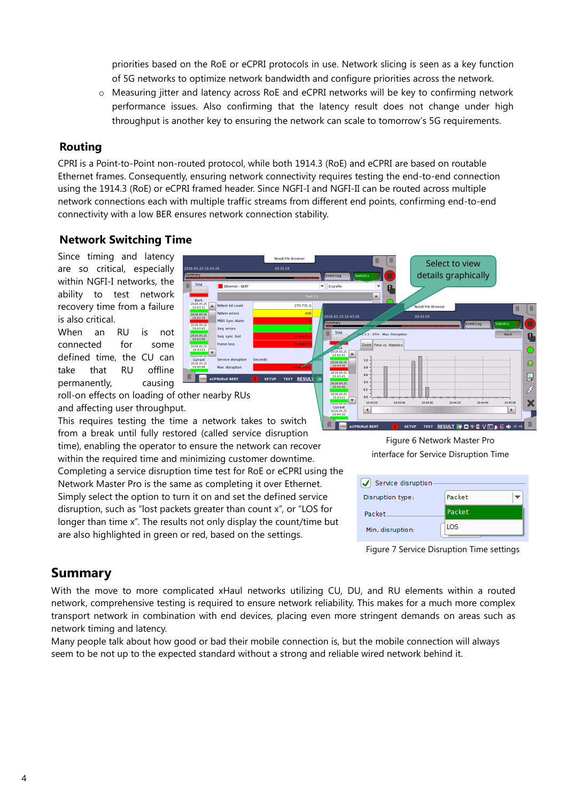priorities based on the RoE or eCPRI protocols in use. Network slicing is seen as a key function of 5G networks to optimize network bandwidth and configure priorities across the network.

o Measuring jitter and latency across RoE and eCPRI networks will be key to confirming network performance issues. Also confirming that the latency result does not change under high throughput is another key to ensuring the network can scale to tomorrow's 5G requirements.

#### <span id="page-3-0"></span>**Routing**

CPRI is a Point-to-Point non-routed protocol, while both 1914.3 (RoE) and eCPRI are based on routable Ethernet frames. Consequently, ensuring network connectivity requires testing the end-to-end connection using the 1914.3 (RoE) or eCPRI framed header. Since NGFI-I and NGFI-II can be routed across multiple network connections each with multiple traffic streams from different end points, confirming end-to-end connectivity with a low BER ensures network connection stability.

### <span id="page-3-1"></span>**Network Switching Time**

Since timing and latency are so critical, especially within NGFI-I networks, the ability to test network recovery time from a failure is also critical.

When an RU is not connected for some defined time, the CU can take that RU offline permanently, causing



 $\vert$ 

Current<br>2018-05-2

roll-on effects on loading of other nearby RUs and affecting user throughput.

This requires testing the time a network takes to switch **KONGREGATION** eCPRI/RoE BERT from a break until fully restored (called service disruption time), enabling the operator to ensure the network can recover within the required time and minimizing customer downtime. Completing a service disruption time test for RoE or eCPRI using the Network Master Pro is the same as completing it over Ethernet. Simply select the option to turn it on and set the defined service disruption, such as "lost packets greater than count x", or "LOS for longer than time x". The results not only display the count/time but are also highlighted in green or red, based on the settings.

Figure 6 Network Master Pro interface for Service Disruption Time

SETUP TEST RESULT FOR SVE DE RESULT

 $\blacktriangleright$ 

| Service disruption |          |
|--------------------|----------|
| Disruption type:   | Packet   |
| Packet             | l Packet |
| Min. disruption:   | LOS.     |

### <span id="page-3-2"></span>**Summary**

With the move to more complicated xHaul networks utilizing CU, DU, and RU elements within a routed network, comprehensive testing is required to ensure network reliability. This makes for a much more complex transport network in combination with end devices, placing even more stringent demands on areas such as network timing and latency.

Many people talk about how good or bad their mobile connection is, but the mobile connection will always seem to be not up to the expected standard without a strong and reliable wired network behind it.

Figure 7 Service Disruption Time settings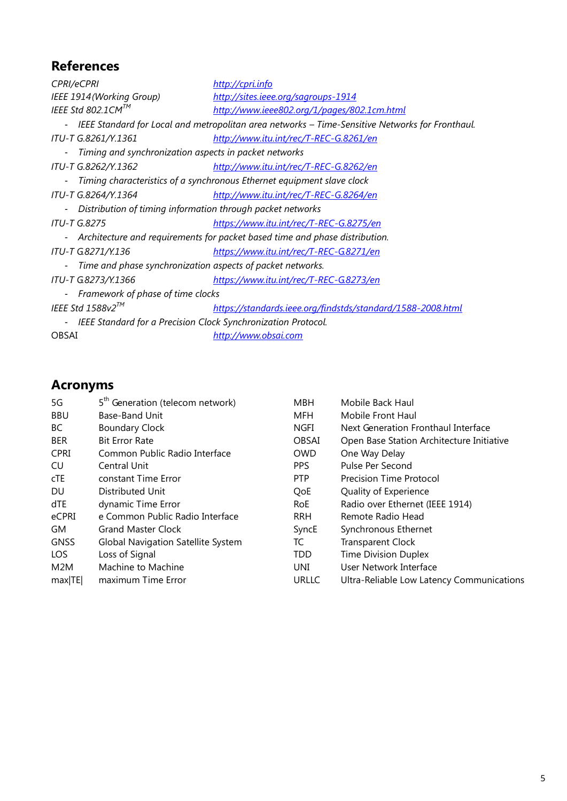## <span id="page-4-0"></span>**References**

| <b>CPRI/eCPRI</b>                                                                                 | http://cpri.info                                            |  |  |  |
|---------------------------------------------------------------------------------------------------|-------------------------------------------------------------|--|--|--|
| IEEE 1914 (Working Group)                                                                         | http://sites.ieee.org/sagroups-1914                         |  |  |  |
| IEEE Std 802.1CM™                                                                                 | http://www.ieee802.org/1/pages/802.1cm.html                 |  |  |  |
| - IEEE Standard for Local and metropolitan area networks - Time-Sensitive Networks for Fronthaul. |                                                             |  |  |  |
| ITU-T G.8261/Y.1361                                                                               | http://www.itu.int/rec/T-REC-G.8261/en                      |  |  |  |
| Timing and synchronization aspects in packet networks                                             |                                                             |  |  |  |
| <i>ITU-T G.8262/Y.1362</i>                                                                        | http://www.itu.int/rec/T-REC-G.8262/en                      |  |  |  |
| Timing characteristics of a synchronous Ethernet equipment slave clock                            |                                                             |  |  |  |
| ITU-T G.8264/Y.1364                                                                               | http://www.itu.int/rec/T-REC-G.8264/en                      |  |  |  |
| Distribution of timing information through packet networks                                        |                                                             |  |  |  |
| <b>ITU-T G.8275</b>                                                                               | https://www.itu.int/rec/T-REC-G.8275/en                     |  |  |  |
| Architecture and requirements for packet based time and phase distribution.                       |                                                             |  |  |  |
| ITU-T G.8271/Y.136                                                                                | https://www.itu.int/rec/T-REC-G.8271/en                     |  |  |  |
| Time and phase synchronization aspects of packet networks.                                        |                                                             |  |  |  |
| ITU-T G.8273/Y.1366                                                                               | https://www.itu.int/rec/T-REC-G.8273/en                     |  |  |  |
| Framework of phase of time clocks                                                                 |                                                             |  |  |  |
| IEEE Std 1588v2 <sup>TM</sup>                                                                     | https://standards.ieee.org/findstds/standard/1588-2008.html |  |  |  |
| IEEE Standard for a Precision Clock Synchronization Protocol.                                     |                                                             |  |  |  |
| <b>OBSAI</b>                                                                                      | http://www.obsai.com                                        |  |  |  |

## <span id="page-4-1"></span>**Acronyms**

| 5G          | 5 <sup>th</sup> Generation (telecom network) | <b>MBH</b>   | Mobile Back Haul                          |
|-------------|----------------------------------------------|--------------|-------------------------------------------|
| <b>BBU</b>  | Base-Band Unit                               | MFH          | Mobile Front Haul                         |
| BC          | <b>Boundary Clock</b>                        | <b>NGFI</b>  | Next Generation Fronthaul Interface       |
| <b>BER</b>  | <b>Bit Error Rate</b>                        | <b>OBSAI</b> | Open Base Station Architecture Initiative |
| <b>CPRI</b> | Common Public Radio Interface                | <b>OWD</b>   | One Way Delay                             |
| CU          | Central Unit                                 | <b>PPS</b>   | Pulse Per Second                          |
| cTE         | constant Time Error                          | <b>PTP</b>   | <b>Precision Time Protocol</b>            |
| DU.         | Distributed Unit                             | QoE          | Quality of Experience                     |
| dTE         | dynamic Time Error                           | <b>RoE</b>   | Radio over Ethernet (IEEE 1914)           |
| eCPRI       | e Common Public Radio Interface              | <b>RRH</b>   | Remote Radio Head                         |
| GM          | <b>Grand Master Clock</b>                    | SyncE        | Synchronous Ethernet                      |
| <b>GNSS</b> | <b>Global Navigation Satellite System</b>    | TC           | <b>Transparent Clock</b>                  |
| LOS.        | Loss of Signal                               | <b>TDD</b>   | <b>Time Division Duplex</b>               |
| M2M         | Machine to Machine                           | UNI          | User Network Interface                    |
| max TE      | maximum Time Error                           | <b>URLLC</b> | Ultra-Reliable Low Latency Communications |